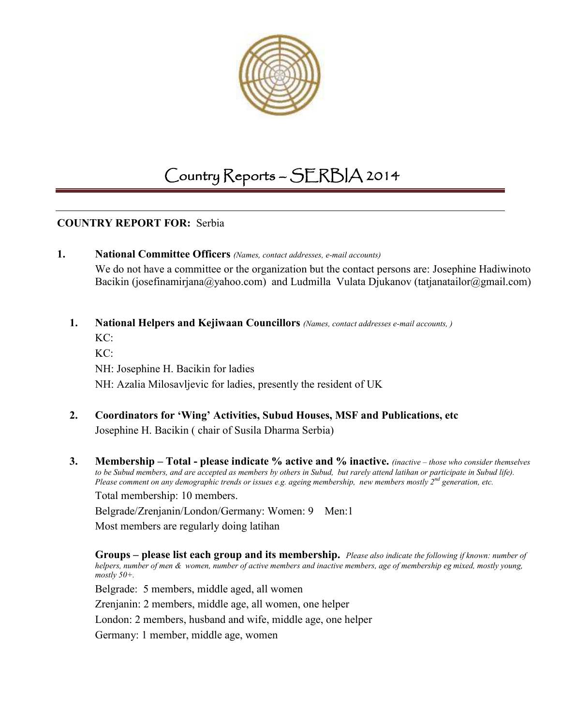

# Country Reports – SERBIA 2014

### **COUNTRY REPORT FOR:** Serbia

#### **1. National Committee Officers** *(Names, contact addresses, e-mail accounts)*

We do not have a committee or the organization but the contact persons are: Josephine Hadiwinoto Bacikin (josefinamirjana@yahoo.com) and Ludmilla Vulata Djukanov (tatjanatailor@gmail.com)

## **1. National Helpers and Kejiwaan Councillors** *(Names, contact addresses e-mail accounts, )*

KC: KC: NH: Josephine H. Bacikin for ladies NH: Azalia Milosavljevic for ladies, presently the resident of UK

## **2. Coordinators for 'Wing' Activities, Subud Houses, MSF and Publications, etc** Josephine H. Bacikin ( chair of Susila Dharma Serbia)

**3. Membership – Total - please indicate % active and % inactive.** *(inactive – those who consider themselves to be Subud members, and are accepted as members by others in Subud, but rarely attend latihan or participate in Subud life). Please comment on any demographic trends or issues e.g. ageing membership, new members mostly 2nd generation, etc.* Total membership: 10 members.

Belgrade/Zrenjanin/London/Germany: Women: 9 Men:1

Most members are regularly doing latihan

**Groups – please list each group and its membership.** *Please also indicate the following if known: number of helpers, number of men & women, number of active members and inactive members, age of membership eg mixed, mostly young, mostly 50+.* 

Belgrade: 5 members, middle aged, all women

Zrenjanin: 2 members, middle age, all women, one helper

London: 2 members, husband and wife, middle age, one helper

Germany: 1 member, middle age, women